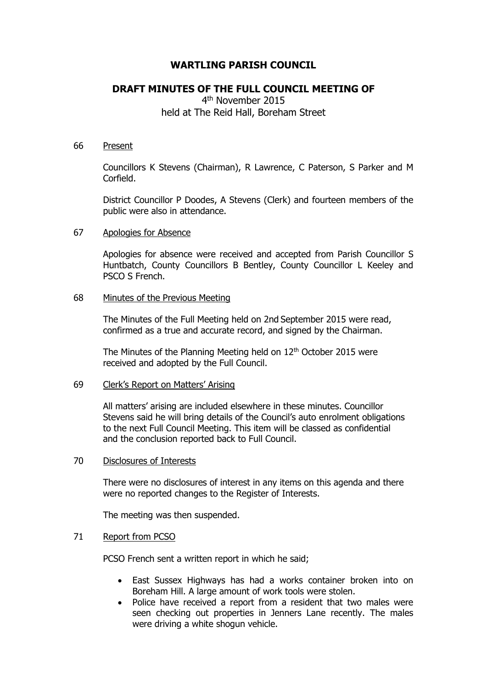# **WARTLING PARISH COUNCIL**

# **DRAFT MINUTES OF THE FULL COUNCIL MEETING OF**

4<sup>th</sup> November 2015 held at The Reid Hall, Boreham Street

#### 66 Present

Councillors K Stevens (Chairman), R Lawrence, C Paterson, S Parker and M Corfield.

District Councillor P Doodes, A Stevens (Clerk) and fourteen members of the public were also in attendance.

## 67 Apologies for Absence

Apologies for absence were received and accepted from Parish Councillor S Huntbatch, County Councillors B Bentley, County Councillor L Keeley and PSCO S French.

## 68 Minutes of the Previous Meeting

The Minutes of the Full Meeting held on 2nd September 2015 were read, confirmed as a true and accurate record, and signed by the Chairman.

The Minutes of the Planning Meeting held on  $12<sup>th</sup>$  October 2015 were received and adopted by the Full Council.

## 69 Clerk's Report on Matters' Arising

All matters' arising are included elsewhere in these minutes. Councillor Stevens said he will bring details of the Council's auto enrolment obligations to the next Full Council Meeting. This item will be classed as confidential and the conclusion reported back to Full Council.

# 70 Disclosures of Interests

There were no disclosures of interest in any items on this agenda and there were no reported changes to the Register of Interests.

The meeting was then suspended.

### 71 Report from PCSO

PCSO French sent a written report in which he said;

- East Sussex Highways has had a works container broken into on Boreham Hill. A large amount of work tools were stolen.
- Police have received a report from a resident that two males were seen checking out properties in Jenners Lane recently. The males were driving a white shogun vehicle.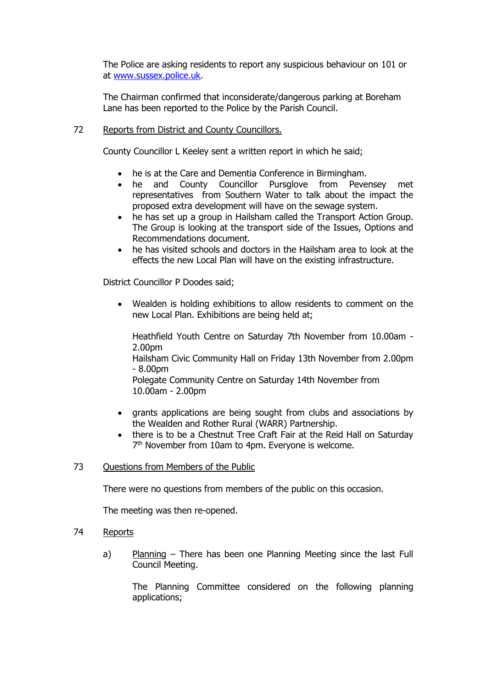The Police are asking residents to report any suspicious behaviour on 101 or at [www.sussex.police.uk.](http://www.sussex.police.uk/)

The Chairman confirmed that inconsiderate/dangerous parking at Boreham Lane has been reported to the Police by the Parish Council.

## 72 Reports from District and County Councillors.

County Councillor L Keeley sent a written report in which he said;

- he is at the Care and Dementia Conference in Birmingham.
- he and County Councillor Pursglove from Pevensey met representatives from Southern Water to talk about the impact the proposed extra development will have on the sewage system.
- he has set up a group in Hailsham called the Transport Action Group. The Group is looking at the transport side of the Issues, Options and Recommendations document.
- he has visited schools and doctors in the Hailsham area to look at the effects the new Local Plan will have on the existing infrastructure.

District Councillor P Doodes said;

 Wealden is holding exhibitions to allow residents to comment on the new Local Plan. Exhibitions are being held at;

Heathfield Youth Centre on Saturday 7th November from 10.00am - 2.00pm

Hailsham Civic Community Hall on Friday 13th November from 2.00pm  $- 8.00<sub>pm</sub>$ 

Polegate Community Centre on Saturday 14th November from 10.00am - 2.00pm

- grants applications are being sought from clubs and associations by the Wealden and Rother Rural (WARR) Partnership.
- there is to be a Chestnut Tree Craft Fair at the Reid Hall on Saturday 7<sup>th</sup> November from 10am to 4pm. Everyone is welcome.

# 73 Questions from Members of the Public

There were no questions from members of the public on this occasion.

The meeting was then re-opened.

- 74 Reports
	- a) Planning There has been one Planning Meeting since the last Full Council Meeting.

The Planning Committee considered on the following planning applications;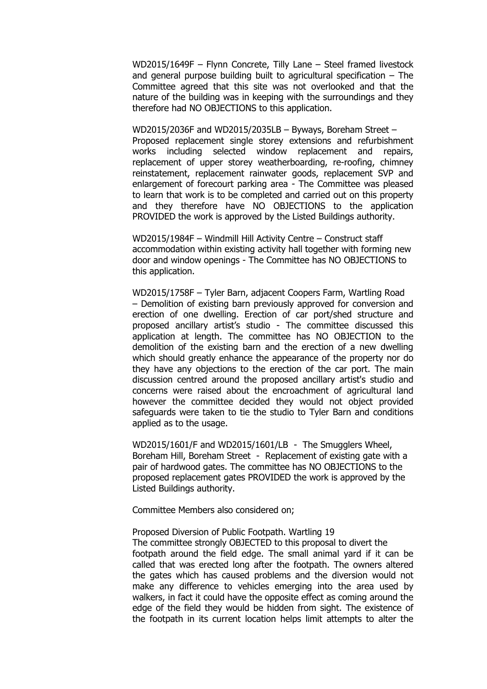WD2015/1649F – Flynn Concrete, Tilly Lane – Steel framed livestock and general purpose building built to agricultural specification – The Committee agreed that this site was not overlooked and that the nature of the building was in keeping with the surroundings and they therefore had NO OBJECTIONS to this application.

WD2015/2036F and WD2015/2035LB – Byways, Boreham Street – Proposed replacement single storey extensions and refurbishment works including selected window replacement and repairs, replacement of upper storey weatherboarding, re-roofing, chimney reinstatement, replacement rainwater goods, replacement SVP and enlargement of forecourt parking area - The Committee was pleased to learn that work is to be completed and carried out on this property and they therefore have NO OBJECTIONS to the application PROVIDED the work is approved by the Listed Buildings authority.

WD2015/1984F – Windmill Hill Activity Centre – Construct staff accommodation within existing activity hall together with forming new door and window openings - The Committee has NO OBJECTIONS to this application.

WD2015/1758F – Tyler Barn, adjacent Coopers Farm, Wartling Road – Demolition of existing barn previously approved for conversion and erection of one dwelling. Erection of car port/shed structure and proposed ancillary artist's studio - The committee discussed this application at length. The committee has NO OBJECTION to the demolition of the existing barn and the erection of a new dwelling which should greatly enhance the appearance of the property nor do they have any objections to the erection of the car port. The main discussion centred around the proposed ancillary artist's studio and concerns were raised about the encroachment of agricultural land however the committee decided they would not object provided safeguards were taken to tie the studio to Tyler Barn and conditions applied as to the usage.

WD2015/1601/F and WD2015/1601/LB - The Smugglers Wheel, Boreham Hill, Boreham Street - Replacement of existing gate with a pair of hardwood gates. The committee has NO OBJECTIONS to the proposed replacement gates PROVIDED the work is approved by the Listed Buildings authority.

Committee Members also considered on;

# Proposed Diversion of Public Footpath. Wartling 19 The committee strongly OBJECTED to this proposal to divert the footpath around the field edge. The small animal yard if it can be called that was erected long after the footpath. The owners altered the gates which has caused problems and the diversion would not make any difference to vehicles emerging into the area used by walkers, in fact it could have the opposite effect as coming around the edge of the field they would be hidden from sight. The existence of the footpath in its current location helps limit attempts to alter the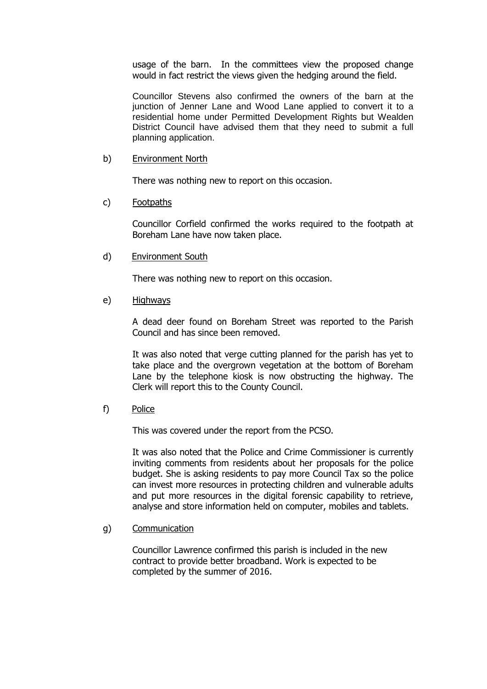usage of the barn. In the committees view the proposed change would in fact restrict the views given the hedging around the field.

Councillor Stevens also confirmed the owners of the barn at the junction of Jenner Lane and Wood Lane applied to convert it to a residential home under Permitted Development Rights but Wealden District Council have advised them that they need to submit a full planning application.

### b) Environment North

There was nothing new to report on this occasion.

## c) Footpaths

Councillor Corfield confirmed the works required to the footpath at Boreham Lane have now taken place.

d) Environment South

There was nothing new to report on this occasion.

e) Highways

A dead deer found on Boreham Street was reported to the Parish Council and has since been removed.

It was also noted that verge cutting planned for the parish has yet to take place and the overgrown vegetation at the bottom of Boreham Lane by the telephone kiosk is now obstructing the highway. The Clerk will report this to the County Council.

f) Police

This was covered under the report from the PCSO.

It was also noted that the Police and Crime Commissioner is currently inviting comments from residents about her proposals for the police budget. She is asking residents to pay more Council Tax so the police can invest more resources in protecting children and vulnerable adults and put more resources in the digital forensic capability to retrieve, analyse and store information held on computer, mobiles and tablets.

# g) Communication

Councillor Lawrence confirmed this parish is included in the new contract to provide better broadband. Work is expected to be completed by the summer of 2016.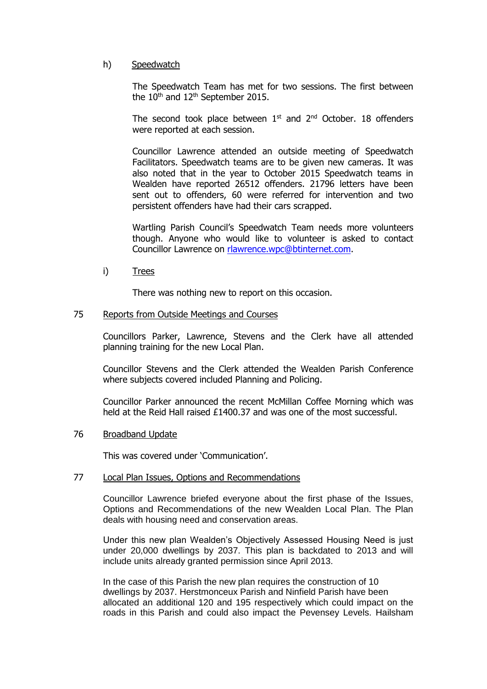# h) Speedwatch

The Speedwatch Team has met for two sessions. The first between the  $10<sup>th</sup>$  and  $12<sup>th</sup>$  September 2015.

The second took place between  $1<sup>st</sup>$  and  $2<sup>nd</sup>$  October. 18 offenders were reported at each session.

Councillor Lawrence attended an outside meeting of Speedwatch Facilitators. Speedwatch teams are to be given new cameras. It was also noted that in the year to October 2015 Speedwatch teams in Wealden have reported 26512 offenders. 21796 letters have been sent out to offenders, 60 were referred for intervention and two persistent offenders have had their cars scrapped.

Wartling Parish Council's Speedwatch Team needs more volunteers though. Anyone who would like to volunteer is asked to contact Councillor Lawrence on [rlawrence.wpc@btinternet.com.](mailto:rlawrence.wpc@btinternet.com)

i) Trees

There was nothing new to report on this occasion.

#### 75 Reports from Outside Meetings and Courses

Councillors Parker, Lawrence, Stevens and the Clerk have all attended planning training for the new Local Plan.

Councillor Stevens and the Clerk attended the Wealden Parish Conference where subjects covered included Planning and Policing.

Councillor Parker announced the recent McMillan Coffee Morning which was held at the Reid Hall raised £1400.37 and was one of the most successful.

#### 76 Broadband Update

This was covered under 'Communication'.

#### 77 Local Plan Issues, Options and Recommendations

Councillor Lawrence briefed everyone about the first phase of the Issues, Options and Recommendations of the new Wealden Local Plan. The Plan deals with housing need and conservation areas.

Under this new plan Wealden's Objectively Assessed Housing Need is just under 20,000 dwellings by 2037. This plan is backdated to 2013 and will include units already granted permission since April 2013.

In the case of this Parish the new plan requires the construction of 10 dwellings by 2037. Herstmonceux Parish and Ninfield Parish have been allocated an additional 120 and 195 respectively which could impact on the roads in this Parish and could also impact the Pevensey Levels. Hailsham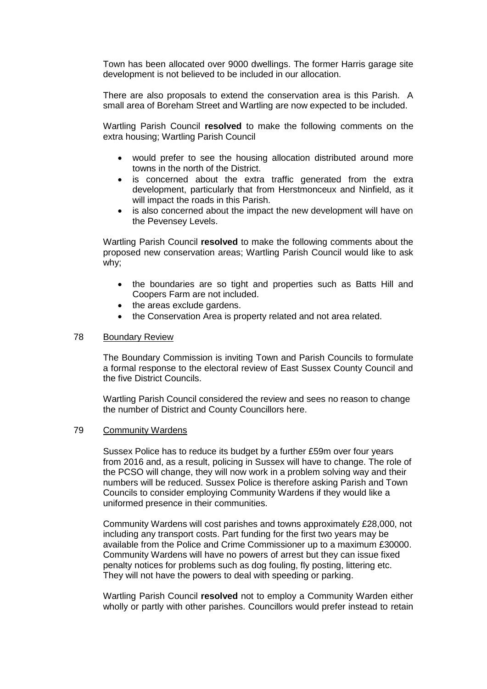Town has been allocated over 9000 dwellings. The former Harris garage site development is not believed to be included in our allocation.

There are also proposals to extend the conservation area is this Parish. A small area of Boreham Street and Wartling are now expected to be included.

Wartling Parish Council **resolved** to make the following comments on the extra housing; Wartling Parish Council

- would prefer to see the housing allocation distributed around more towns in the north of the District.
- is concerned about the extra traffic generated from the extra development, particularly that from Herstmonceux and Ninfield, as it will impact the roads in this Parish.
- is also concerned about the impact the new development will have on the Pevensey Levels.

Wartling Parish Council **resolved** to make the following comments about the proposed new conservation areas; Wartling Parish Council would like to ask why;

- the boundaries are so tight and properties such as Batts Hill and Coopers Farm are not included.
- the areas exclude gardens.
- the Conservation Area is property related and not area related.

## 78 Boundary Review

The Boundary Commission is inviting Town and Parish Councils to formulate a formal response to the electoral review of East Sussex County Council and the five District Councils.

Wartling Parish Council considered the review and sees no reason to change the number of District and County Councillors here.

#### 79 Community Wardens

Sussex Police has to reduce its budget by a further £59m over four years from 2016 and, as a result, policing in Sussex will have to change. The role of the PCSO will change, they will now work in a problem solving way and their numbers will be reduced. Sussex Police is therefore asking Parish and Town Councils to consider employing Community Wardens if they would like a uniformed presence in their communities.

 Community Wardens will cost parishes and towns approximately £28,000, not including any transport costs. Part funding for the first two years may be available from the Police and Crime Commissioner up to a maximum £30000. Community Wardens will have no powers of arrest but they can issue fixed penalty notices for problems such as dog fouling, fly posting, littering etc. They will not have the powers to deal with speeding or parking.

Wartling Parish Council **resolved** not to employ a Community Warden either wholly or partly with other parishes. Councillors would prefer instead to retain